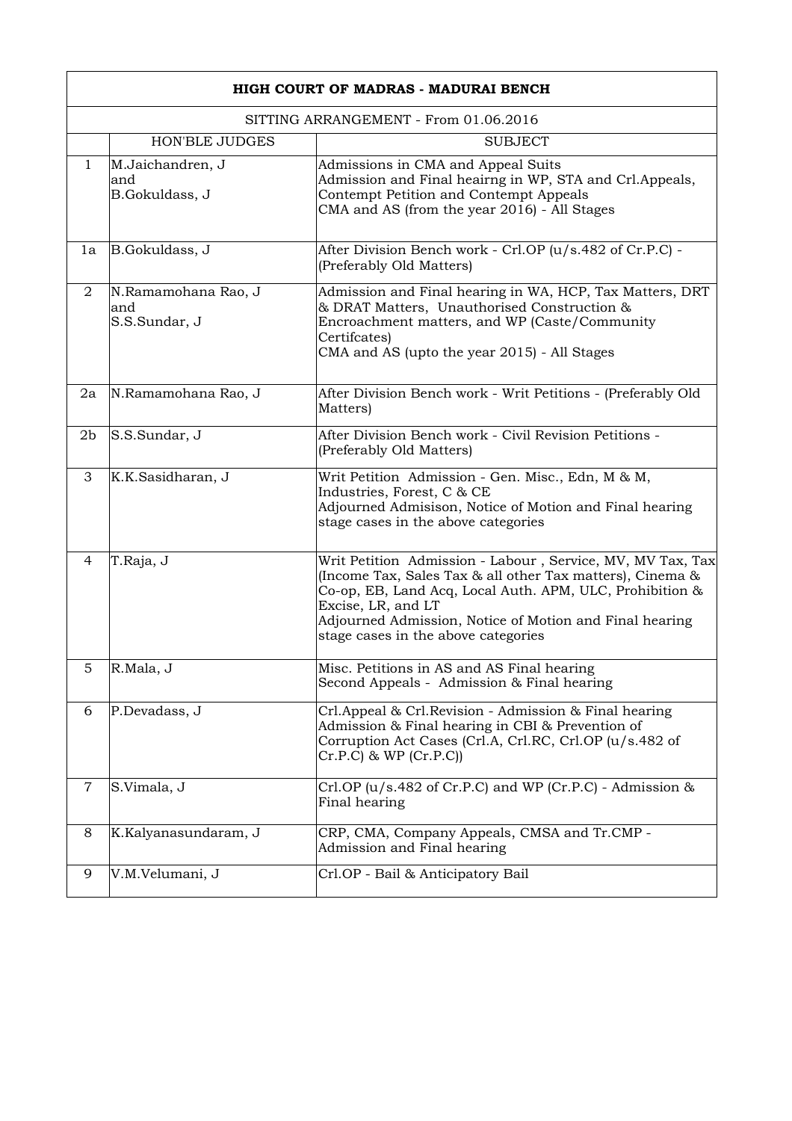| HIGH COURT OF MADRAS - MADURAI BENCH  |                                             |                                                                                                                                                                                                                                                                                                             |
|---------------------------------------|---------------------------------------------|-------------------------------------------------------------------------------------------------------------------------------------------------------------------------------------------------------------------------------------------------------------------------------------------------------------|
| SITTING ARRANGEMENT - From 01.06.2016 |                                             |                                                                                                                                                                                                                                                                                                             |
|                                       | <b>HON'BLE JUDGES</b>                       | <b>SUBJECT</b>                                                                                                                                                                                                                                                                                              |
| $\mathbf{1}$                          | M.Jaichandren, J<br>and<br>B.Gokuldass, J   | Admissions in CMA and Appeal Suits<br>Admission and Final heairng in WP, STA and Crl.Appeals,<br>Contempt Petition and Contempt Appeals<br>CMA and AS (from the year 2016) - All Stages                                                                                                                     |
| 1a                                    | B.Gokuldass, J                              | After Division Bench work - Crl.OP (u/s.482 of Cr.P.C) -<br>(Preferably Old Matters)                                                                                                                                                                                                                        |
| $\overline{2}$                        | N.Ramamohana Rao, J<br>and<br>S.S.Sundar, J | Admission and Final hearing in WA, HCP, Tax Matters, DRT<br>& DRAT Matters, Unauthorised Construction &<br>Encroachment matters, and WP (Caste/Community<br>Certifcates)<br>CMA and AS (upto the year 2015) - All Stages                                                                                    |
| 2a                                    | N.Ramamohana Rao, J                         | After Division Bench work - Writ Petitions - (Preferably Old<br>Matters)                                                                                                                                                                                                                                    |
| 2 <sub>b</sub>                        | S.S.Sundar, J                               | After Division Bench work - Civil Revision Petitions -<br>(Preferably Old Matters)                                                                                                                                                                                                                          |
| 3                                     | K.K.Sasidharan, J                           | Writ Petition Admission - Gen. Misc., Edn, M & M,<br>Industries, Forest, C & CE<br>Adjourned Admisison, Notice of Motion and Final hearing<br>stage cases in the above categories                                                                                                                           |
| 4                                     | T.Raja, J                                   | Writ Petition Admission - Labour, Service, MV, MV Tax, Tax<br>(Income Tax, Sales Tax & all other Tax matters), Cinema &<br>Co-op, EB, Land Acq, Local Auth. APM, ULC, Prohibition &<br>Excise, LR, and LT<br>Adjourned Admission, Notice of Motion and Final hearing<br>stage cases in the above categories |
| 5                                     | R.Mala, J                                   | Misc. Petitions in AS and AS Final hearing<br>Second Appeals - Admission & Final hearing                                                                                                                                                                                                                    |
| 6                                     | P.Devadass, J                               | Crl.Appeal & Crl.Revision - Admission & Final hearing<br>Admission & Final hearing in CBI & Prevention of<br>Corruption Act Cases (Crl.A, Crl.RC, Crl.OP (u/s.482 of<br>$Cr.P.C)$ & WP $(Cr.P.C)$                                                                                                           |
| $\overline{7}$                        | S.Vimala, J                                 | Crl.OP $(u/s.482$ of Cr.P.C) and WP (Cr.P.C) - Admission $\&$<br>Final hearing                                                                                                                                                                                                                              |
| 8                                     | K.Kalyanasundaram, J                        | CRP, CMA, Company Appeals, CMSA and Tr.CMP -<br>Admission and Final hearing                                                                                                                                                                                                                                 |
| 9                                     | V.M.Velumani, J                             | Crl.OP - Bail & Anticipatory Bail                                                                                                                                                                                                                                                                           |